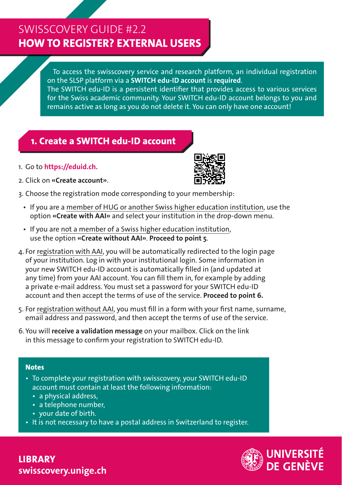# SWISSCOVERY GUIDE #2.2 **HOW TO REGISTER? EXTERNAL USERS**

To access the swisscovery service and research platform, an individual registration on the SLSP platform via a **SWITCH edu-ID account** is **required**.

The SWITCH edu-ID is a persistent identifier that provides access to various services for the Swiss academic community. Your SWITCH edu-ID account belongs to you and remains active as long as you do not delete it. You can only have one account!

### **1. Create a SWITCH edu-ID account**

1. Go to **https://eduid.ch.**



- 2. Click on **«Create account»**.
- 3. Choose the registration mode corresponding to your membership:
	- If you are a member of HUG or another Swiss higher education institution, use the option **«Create with AAI»** and select your institution in the drop-down menu.
	- If you are not a member of a Swiss higher education institution, use the option **«Create without AAI»**. **Proceed to point 5**.
- 4. For registration with AAI, you will be automatically redirected to the login page of your institution. Log in with your institutional login. Some information in your new SWITCH edu-ID account is automatically filled in (and updated at any time) from your AAI account. You can fill them in, for example by adding a private e-mail address. You must set a password for your SWITCH edu-ID account and then accept the terms of use of the service. **Proceed to point 6.**
- 5. For registration without AAI, you must fill in a form with your first name, surname, email address and password, and then accept the terms of use of the service.
- 6. You will **receive a validation message** on your mailbox. Click on the link in this message to confirm your registration to SWITCH edu-ID.

#### **Notes**

- To complete your registration with swisscovery, your SWITCH edu-ID account must contain at least the following information:
	- a physical address,
	- a telephone number,
	- your date of birth.
- It is not necessary to have a postal address in Switzerland to register.

**LIBRARY swisscovery.unige.ch**